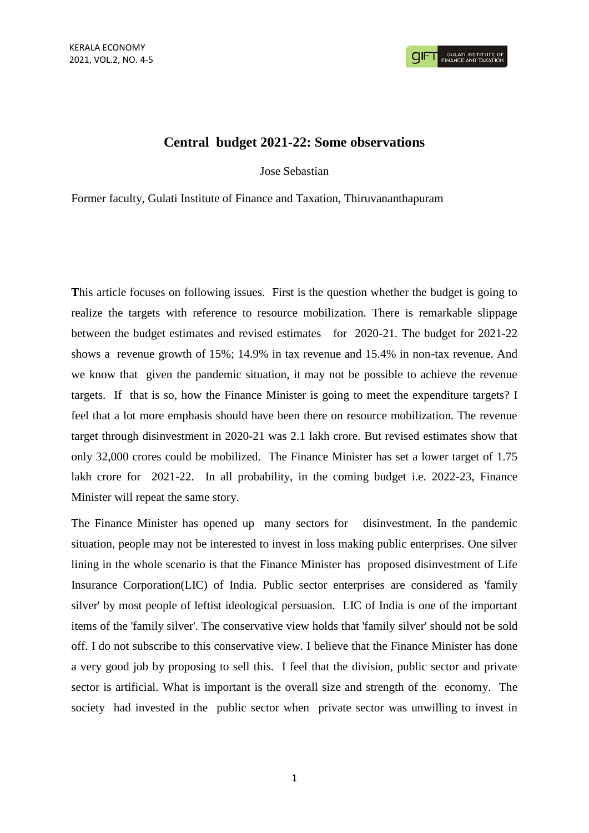## **Central budget 2021-22: Some observations**

Jose Sebastian

Former faculty, Gulati Institute of Finance and Taxation, Thiruvananthapuram

**T**his article focuses on following issues. First is the question whether the budget is going to realize the targets with reference to resource mobilization. There is remarkable slippage between the budget estimates and revised estimates for 2020-21. The budget for 2021-22 shows a revenue growth of 15%; 14.9% in tax revenue and 15.4% in non-tax revenue. And we know that given the pandemic situation, it may not be possible to achieve the revenue targets. If that is so, how the Finance Minister is going to meet the expenditure targets? I feel that a lot more emphasis should have been there on resource mobilization. The revenue target through disinvestment in 2020-21 was 2.1 lakh crore. But revised estimates show that only 32,000 crores could be mobilized. The Finance Minister has set a lower target of 1.75 lakh crore for 2021-22. In all probability, in the coming budget i.e. 2022-23, Finance Minister will repeat the same story.

The Finance Minister has opened up many sectors for disinvestment. In the pandemic situation, people may not be interested to invest in loss making public enterprises. One silver lining in the whole scenario is that the Finance Minister has proposed disinvestment of Life Insurance Corporation(LIC) of India. Public sector enterprises are considered as 'family silver' by most people of leftist ideological persuasion. LIC of India is one of the important items of the 'family silver'. The conservative view holds that 'family silver' should not be sold off. I do not subscribe to this conservative view. I believe that the Finance Minister has done a very good job by proposing to sell this. I feel that the division, public sector and private sector is artificial. What is important is the overall size and strength of the economy. The society had invested in the public sector when private sector was unwilling to invest in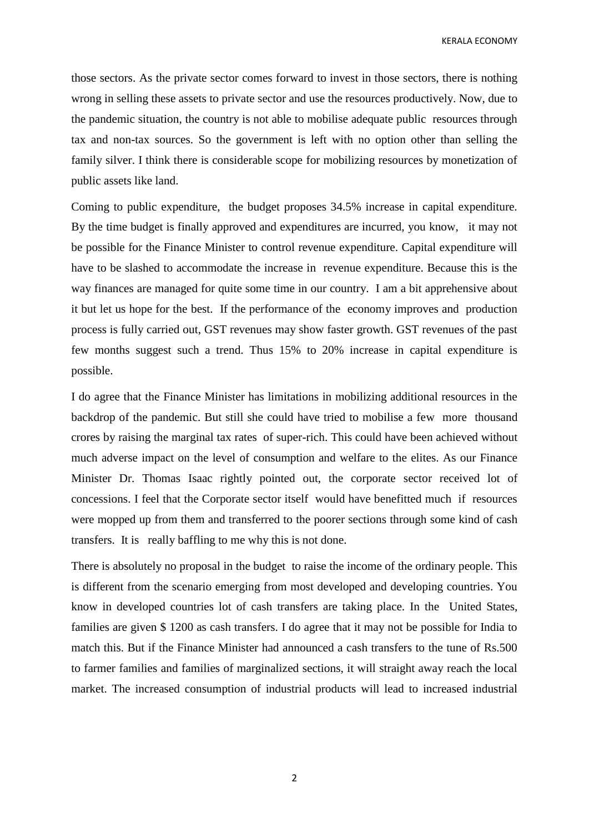KERALA ECONOMY

those sectors. As the private sector comes forward to invest in those sectors, there is nothing wrong in selling these assets to private sector and use the resources productively. Now, due to the pandemic situation, the country is not able to mobilise adequate public resources through tax and non-tax sources. So the government is left with no option other than selling the family silver. I think there is considerable scope for mobilizing resources by monetization of public assets like land.

Coming to public expenditure, the budget proposes 34.5% increase in capital expenditure. By the time budget is finally approved and expenditures are incurred, you know, it may not be possible for the Finance Minister to control revenue expenditure. Capital expenditure will have to be slashed to accommodate the increase in revenue expenditure. Because this is the way finances are managed for quite some time in our country. I am a bit apprehensive about it but let us hope for the best. If the performance of the economy improves and production process is fully carried out, GST revenues may show faster growth. GST revenues of the past few months suggest such a trend. Thus 15% to 20% increase in capital expenditure is possible.

I do agree that the Finance Minister has limitations in mobilizing additional resources in the backdrop of the pandemic. But still she could have tried to mobilise a few more thousand crores by raising the marginal tax rates of super-rich. This could have been achieved without much adverse impact on the level of consumption and welfare to the elites. As our Finance Minister Dr. Thomas Isaac rightly pointed out, the corporate sector received lot of concessions. I feel that the Corporate sector itself would have benefitted much if resources were mopped up from them and transferred to the poorer sections through some kind of cash transfers. It is really baffling to me why this is not done.

There is absolutely no proposal in the budget to raise the income of the ordinary people. This is different from the scenario emerging from most developed and developing countries. You know in developed countries lot of cash transfers are taking place. In the United States, families are given \$ 1200 as cash transfers. I do agree that it may not be possible for India to match this. But if the Finance Minister had announced a cash transfers to the tune of Rs.500 to farmer families and families of marginalized sections, it will straight away reach the local market. The increased consumption of industrial products will lead to increased industrial